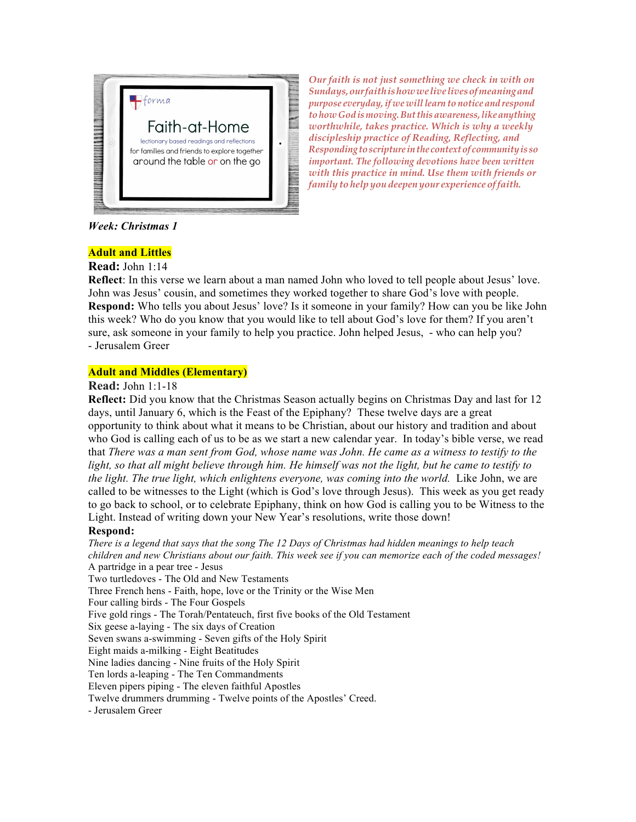

*Our faith is not just something we check in with on Sundays,ourfaithishowwelivelivesofmeaningand purpose everyday,if we willlearn to notice and respond tohow God ismoving.Butthisawareness,likeanything worthwhile, takes practice. Which is why a weekly discipleship practice of Reading, Reflecting, and Responding toscripture inthe contextof communityis so important. The following devotions have been written with this practice in mind. Use them with friends or family to help you deepen your experience offaith.*

*Week: Christmas 1*

## **Adult and Littles**

**Read:** John 1:14

**Reflect**: In this verse we learn about a man named John who loved to tell people about Jesus' love. John was Jesus' cousin, and sometimes they worked together to share God's love with people. **Respond:** Who tells you about Jesus' love? Is it someone in your family? How can you be like John this week? Who do you know that you would like to tell about God's love for them? If you aren't sure, ask someone in your family to help you practice. John helped Jesus, - who can help you? - Jerusalem Greer

## **Adult and Middles (Elementary)**

**Read:** John 1:1-18

**Reflect:** Did you know that the Christmas Season actually begins on Christmas Day and last for 12 days, until January 6, which is the Feast of the Epiphany? These twelve days are a great opportunity to think about what it means to be Christian, about our history and tradition and about who God is calling each of us to be as we start a new calendar year. In today's bible verse, we read that *There was a man sent from God, whose name was John. He came as a witness to testify to the light, so that all might believe through him. He himself was not the light, but he came to testify to the light. The true light, which enlightens everyone, was coming into the world.* Like John, we are called to be witnesses to the Light (which is God's love through Jesus). This week as you get ready to go back to school, or to celebrate Epiphany, think on how God is calling you to be Witness to the Light. Instead of writing down your New Year's resolutions, write those down!

# **Respond:**

*There is a legend that says that the song The 12 Days of Christmas had hidden meanings to help teach children and new Christians about our faith. This week see if you can memorize each of the coded messages!*  A partridge in a pear tree - Jesus Two turtledoves - The Old and New Testaments Three French hens - Faith, hope, love or the Trinity or the Wise Men Four calling birds - The Four Gospels Five gold rings - The Torah/Pentateuch, first five books of the Old Testament Six geese a-laying - The six days of Creation Seven swans a-swimming - Seven gifts of the Holy Spirit Eight maids a-milking - Eight Beatitudes Nine ladies dancing - Nine fruits of the Holy Spirit Ten lords a-leaping - The Ten Commandments Eleven pipers piping - The eleven faithful Apostles Twelve drummers drumming - Twelve points of the Apostles' Creed. - Jerusalem Greer